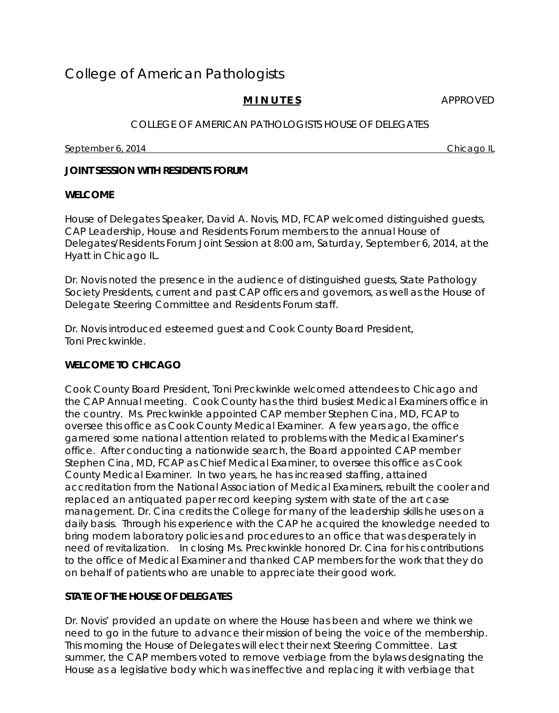# College of American Pathologists

# **MINUTES** APPROVED

## COLLEGE OF AMERICAN PATHOLOGISTS HOUSE OF DELEGATES

September 6, 2014 **Chicago IL Chicago IL Chicago IL Chicago IL** 

## **JOINT SESSION WITH RESIDENTS FORUM**

#### **WELCOME**

House of Delegates Speaker, David A. Novis, MD, FCAP welcomed distinguished guests, CAP Leadership, House and Residents Forum members to the annual House of Delegates/Residents Forum Joint Session at 8:00 am, Saturday, September 6, 2014, at the Hyatt in Chicago IL.

Dr. Novis noted the presence in the audience of distinguished guests, State Pathology Society Presidents, current and past CAP officers and governors, as well as the House of Delegate Steering Committee and Residents Forum staff.

Dr. Novis introduced esteemed guest and Cook County Board President, Toni Preckwinkle.

# **WELCOME TO CHICAGO**

Cook County Board President, Toni Preckwinkle welcomed attendees to Chicago and the CAP Annual meeting. Cook County has the third busiest Medical Examiners office in the country. Ms. Preckwinkle appointed CAP member Stephen Cina, MD, FCAP to oversee this office as Cook County Medical Examiner. A few years ago, the office garnered some national attention related to problems with the Medical Examiner's office. After conducting a nationwide search, the Board appointed CAP member Stephen Cina, MD, FCAP as Chief Medical Examiner, to oversee this office as Cook County Medical Examiner. In two years, he has increased staffing, attained accreditation from the National Association of Medical Examiners, rebuilt the cooler and replaced an antiquated paper record keeping system with state of the art case management. Dr. Cina credits the College for many of the leadership skills he uses on a daily basis. Through his experience with the CAP he acquired the knowledge needed to bring modern laboratory policies and procedures to an office that was desperately in need of revitalization. In closing Ms. Preckwinkle honored Dr. Cina for his contributions to the office of Medical Examiner and thanked CAP members for the work that they do on behalf of patients who are unable to appreciate their good work.

# **STATE OF THE HOUSE OF DELEGATES**

Dr. Novis' provided an update on where the House has been and where we think we need to go in the future to advance their mission of being the voice of the membership. This morning the House of Delegates will elect their next Steering Committee. Last summer, the CAP members voted to remove verbiage from the bylaws designating the House as a legislative body which was ineffective and replacing it with verbiage that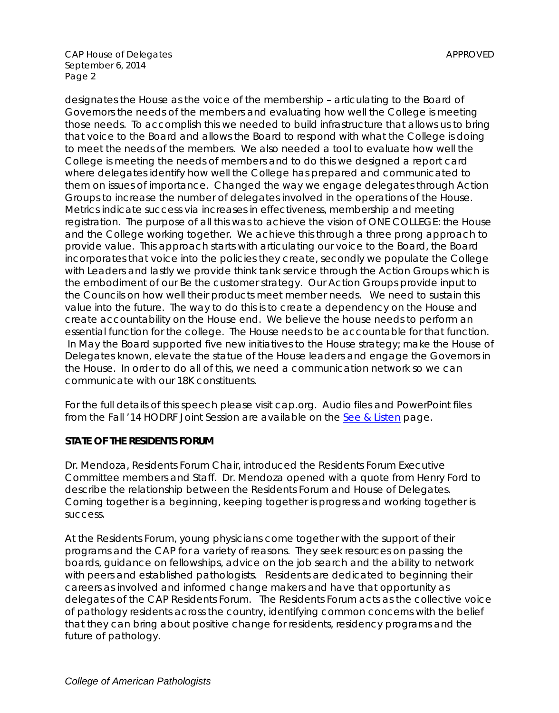designates the House as the voice of the membership – articulating to the Board of Governors the needs of the members and evaluating how well the College is meeting those needs. To accomplish this we needed to build infrastructure that allows us to bring that voice to the Board and allows the Board to respond with what the College is doing to meet the needs of the members. We also needed a tool to evaluate how well the College is meeting the needs of members and to do this we designed a report card where delegates identify how well the College has prepared and communicated to them on issues of importance. Changed the way we engage delegates through Action Groups to increase the number of delegates involved in the operations of the House. Metrics indicate success via increases in effectiveness, membership and meeting registration. The purpose of all this was to achieve the vision of ONE COLLEGE: the House and the College working together. We achieve this through a three prong approach to provide value. This approach starts with articulating our voice to the Board, the Board incorporates that voice into the policies they create, secondly we populate the College with Leaders and lastly we provide think tank service through the Action Groups which is the embodiment of our Be the customer strategy. Our Action Groups provide input to the Councils on how well their products meet member needs. We need to sustain this value into the future. The way to do this is to create a dependency on the House and create accountability on the House end. We believe the house needs to perform an essential function for the college. The House needs to be accountable for that function. In May the Board supported five new initiatives to the House strategy; make the House of Delegates known, elevate the statue of the House leaders and engage the Governors in the House. In order to do all of this, we need a communication network so we can communicate with our 18K constituents.

*For the full details of this speech please visit cap.org. Audio files and PowerPoint files from the Fall '14 HODRF Joint Session are available on the [See & Listen](http://www.cap.org/apps/cap.portal?_nfpb=true&cntvwrPtlt_actionOverride=%2Fportlets%2FcontentViewer%2Fshow&_windowLabel=cntvwrPtlt&cntvwrPtlt%7BactionForm.contentReference%7D=house_of_delegates%2Fhod_see_listen.html&_state=maximized&_pageLabel=cntvwr) page.* 

# **STATE OF THE RESIDENTS FORUM**

Dr. Mendoza, Residents Forum Chair, introduced the Residents Forum Executive Committee members and Staff. Dr. Mendoza opened with a quote from Henry Ford to describe the relationship between the Residents Forum and House of Delegates. Coming together is a beginning, keeping together is progress and working together is success.

At the Residents Forum, young physicians come together with the support of their programs and the CAP for a variety of reasons. They seek resources on passing the boards, guidance on fellowships, advice on the job search and the ability to network with peers and established pathologists. Residents are dedicated to beginning their careers as involved and informed change makers and have that opportunity as delegates of the CAP Residents Forum. The Residents Forum acts as the collective voice of pathology residents across the country, identifying common concerns with the belief that they can bring about positive change for residents, residency programs and the future of pathology.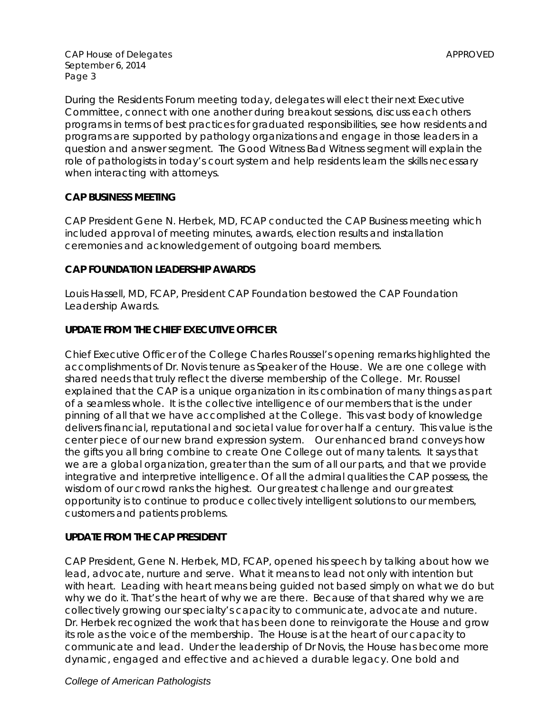During the Residents Forum meeting today, delegates will elect their next Executive Committee, connect with one another during breakout sessions, discuss each others programs in terms of best practices for graduated responsibilities, see how residents and programs are supported by pathology organizations and engage in those leaders in a question and answer segment. The Good Witness Bad Witness segment will explain the role of pathologists in today's court system and help residents learn the skills necessary when interacting with attorneys.

## **CAP BUSINESS MEETING**

CAP President Gene N. Herbek, MD, FCAP conducted the CAP Business meeting which included approval of meeting minutes, awards, election results and installation ceremonies and acknowledgement of outgoing board members.

## **CAP FOUNDATION LEADERSHIP AWARDS**

Louis Hassell, MD, FCAP, President CAP Foundation bestowed the CAP Foundation Leadership Awards.

## **UPDATE FROM THE CHIEF EXECUTIVE OFFICER**

Chief Executive Officer of the College Charles Roussel's opening remarks highlighted the accomplishments of Dr. Novis tenure as Speaker of the House. We are one college with shared needs that truly reflect the diverse membership of the College. Mr. Roussel explained that the CAP is a unique organization in its combination of many things as part of a seamless whole. It is the collective intelligence of our members that is the under pinning of all that we have accomplished at the College. This vast body of knowledge delivers financial, reputational and societal value for over half a century. This value is the center piece of our new brand expression system. Our enhanced brand conveys how the gifts you all bring combine to create One College out of many talents. It says that we are a global organization, greater than the sum of all our parts, and that we provide integrative and interpretive intelligence. Of all the admiral qualities the CAP possess, the wisdom of our crowd ranks the highest. Our greatest challenge and our greatest opportunity is to continue to produce collectively intelligent solutions to our members, customers and patients problems.

# **UPDATE FROM THE CAP PRESIDENT**

CAP President, Gene N. Herbek, MD, FCAP, opened his speech by talking about how we lead, advocate, nurture and serve. What it means to lead not only with intention but with heart. Leading with heart means being guided not based simply on what we do but why we do it. That's the heart of why we are there. Because of that shared why we are collectively growing our specialty's capacity to communicate, advocate and nuture. Dr. Herbek recognized the work that has been done to reinvigorate the House and grow its role as the voice of the membership. The House is at the heart of our capacity to communicate and lead. Under the leadership of Dr Novis, the House has become more dynamic, engaged and effective and achieved a durable legacy. One bold and

### *College of American Pathologists*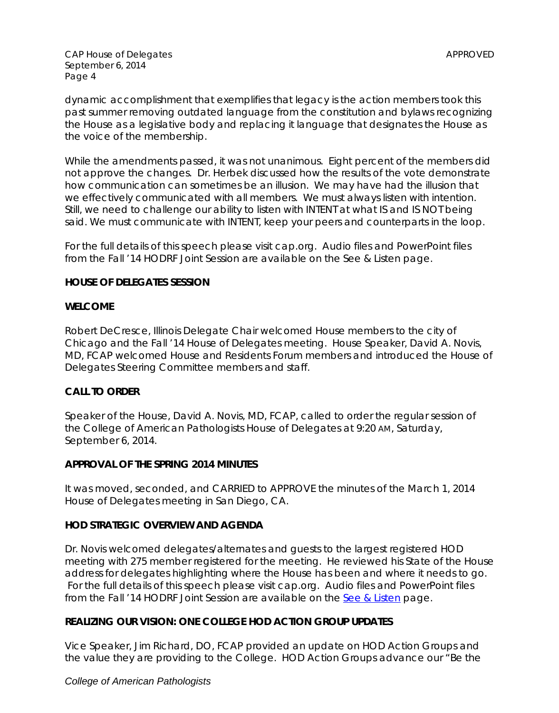dynamic accomplishment that exemplifies that legacy is the action members took this past summer removing outdated language from the constitution and bylaws recognizing the House as a legislative body and replacing it language that designates the House as the voice of the membership.

While the amendments passed, it was not unanimous. Eight percent of the members did not approve the changes. Dr. Herbek discussed how the results of the vote demonstrate how communication can sometimes be an illusion. We may have had the illusion that we effectively communicated with all members. We must always listen with intention. Still, we need to challenge our ability to listen with INTENT at what IS and IS NOT being said. We must communicate with INTENT, keep your peers and counterparts in the loop.

*For the full details of this speech please visit cap.org. Audio files and PowerPoint files from the Fall '14 HODRF Joint Session are available on the [See & Listen](http://www.cap.org/apps/cap.portal?_nfpb=true&cntvwrPtlt_actionOverride=%2Fportlets%2FcontentViewer%2Fshow&_windowLabel=cntvwrPtlt&cntvwrPtlt%7BactionForm.contentReference%7D=house_of_delegates%2Fhod_see_listen.html&_state=maximized&_pageLabel=cntvwr) page.* 

## **HOUSE OF DELEGATES SESSION**

### **WELCOME**

Robert DeCresce, Illinois Delegate Chair welcomed House members to the city of Chicago and the Fall '14 House of Delegates meeting. House Speaker, David A. Novis, MD, FCAP welcomed House and Residents Forum members and introduced the House of Delegates Steering Committee members and staff.

# **CALL TO ORDER**

Speaker of the House, David A. Novis, MD, FCAP, called to order the regular session of the College of American Pathologists House of Delegates at 9:20 AM, Saturday, September 6, 2014.

### **APPROVAL OF THE SPRING 2014 MINUTES**

It was moved, seconded, and CARRIED to APPROVE the minutes of the March 1, 2014 House of Delegates meeting in San Diego, CA.

# **HOD STRATEGIC OVERVIEW AND AGENDA**

Dr. Novis welcomed delegates/alternates and guests to the largest registered HOD meeting with 275 member registered for the meeting. He reviewed his State of the House address for delegates highlighting where the House has been and where it needs to go. *For the full details of this speech please visit cap.org. Audio files and PowerPoint files from the Fall '14 HODRF Joint Session are available on the [See & Listen](http://www.cap.org/apps/cap.portal?_nfpb=true&cntvwrPtlt_actionOverride=%2Fportlets%2FcontentViewer%2Fshow&_windowLabel=cntvwrPtlt&cntvwrPtlt%7BactionForm.contentReference%7D=house_of_delegates%2Fhod_see_listen.html&_state=maximized&_pageLabel=cntvwr) page.* 

# **REALIZING OUR VISION: ONE COLLEGE HOD ACTION GROUP UPDATES**

Vice Speaker, Jim Richard, DO, FCAP provided an update on HOD Action Groups and the value they are providing to the College. HOD Action Groups advance our *"Be the* 

### *College of American Pathologists*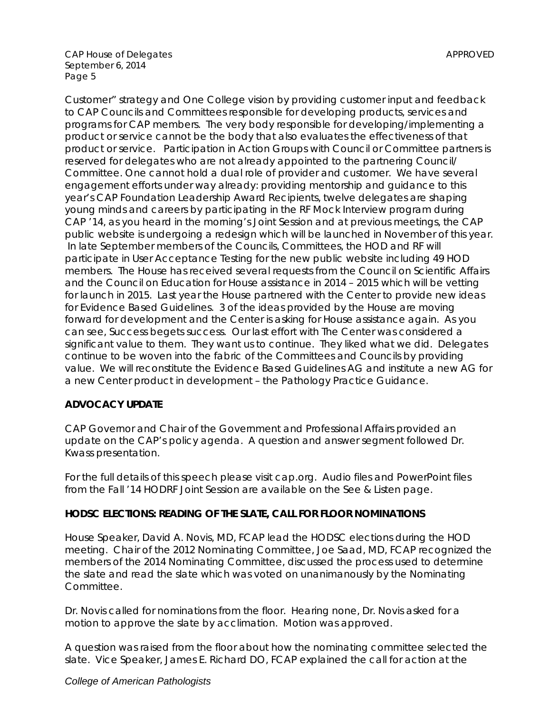*Customer"* strategy and *One College* vision by providing customer input and feedback to CAP Councils and Committees responsible for developing products, services and programs for CAP members. The very body responsible for developing/implementing a product or service cannot be the body that also evaluates the effectiveness of that product or service. Participation in Action Groups with Council or Committee partners is reserved for delegates who are not already appointed to the partnering Council/ Committee. One cannot hold a dual role of provider and customer. We have several engagement efforts under way already: providing mentorship and guidance to this year's CAP Foundation Leadership Award Recipients, twelve delegates are shaping young minds and careers by participating in the RF Mock Interview program during CAP '14, as you heard in the morning's Joint Session and at previous meetings, the CAP public website is undergoing a redesign which will be launched in November of this year. In late September members of the Councils, Committees, the HOD and RF will participate in User Acceptance Testing for the new public website including 49 HOD members. The House has received several requests from the Council on Scientific Affairs and the Council on Education for House assistance in 2014 – 2015 which will be vetting for launch in 2015. Last year the House partnered with the Center to provide new ideas for Evidence Based Guidelines. 3 of the ideas provided by the House are moving forward for development and the Center is asking for House assistance again. As you can see, Success begets success. Our last effort with The Center was considered a significant value to them. They want us to continue. They liked what we did. Delegates continue to be woven into the fabric of the Committees and Councils by providing value. We will reconstitute the Evidence Based Guidelines AG and institute a new AG for a new Center product in development – the Pathology Practice Guidance.

### **ADVOCACY UPDATE**

CAP Governor and Chair of the Government and Professional Affairs provided an update on the CAP's policy agenda. A question and answer segment followed Dr. Kwass presentation.

*For the full details of this speech please visit cap.org. Audio files and PowerPoint files from the Fall '14 HODRF Joint Session are available on the [See & Listen](http://www.cap.org/apps/cap.portal?_nfpb=true&cntvwrPtlt_actionOverride=%2Fportlets%2FcontentViewer%2Fshow&_windowLabel=cntvwrPtlt&cntvwrPtlt%7BactionForm.contentReference%7D=house_of_delegates%2Fhod_see_listen.html&_state=maximized&_pageLabel=cntvwr) page.* 

### **HODSC ELECTIONS: READING OF THE SLATE, CALL FOR FLOOR NOMINATIONS**

House Speaker, David A. Novis, MD, FCAP lead the HODSC elections during the HOD meeting. Chair of the 2012 Nominating Committee, Joe Saad, MD, FCAP recognized the members of the 2014 Nominating Committee, discussed the process used to determine the slate and read the slate which was voted on unanimanously by the Nominating Committee.

Dr. Novis called for nominations from the floor. Hearing none, Dr. Novis asked for a motion to approve the slate by acclimation. Motion was approved.

A question was raised from the floor about how the nominating committee selected the slate. Vice Speaker, James E. Richard DO, FCAP explained the call for action at the

#### *College of American Pathologists*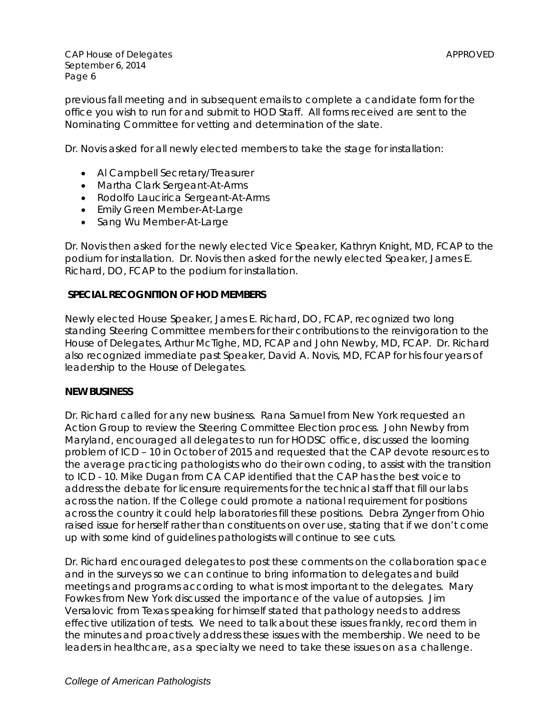previous fall meeting and in subsequent emails to complete a candidate form for the office you wish to run for and submit to HOD Staff. All forms received are sent to the Nominating Committee for vetting and determination of the slate.

Dr. Novis asked for all newly elected members to take the stage for installation:

- Al Campbell Secretary/Treasurer
- Martha Clark Sergeant-At-Arms
- Rodolfo Laucirica Sergeant-At-Arms
- Emily Green Member-At-Large
- Sang Wu Member-At-Large

Dr. Novis then asked for the newly elected Vice Speaker, Kathryn Knight, MD, FCAP to the podium for installation. Dr. Novis then asked for the newly elected Speaker, James E. Richard, DO, FCAP to the podium for installation.

### **SPECIAL RECOGNITION OF HOD MEMBERS**

Newly elected House Speaker, James E. Richard, DO, FCAP, recognized two long standing Steering Committee members for their contributions to the reinvigoration to the House of Delegates, Arthur McTighe, MD, FCAP and John Newby, MD, FCAP. Dr. Richard also recognized immediate past Speaker, David A. Novis, MD, FCAP for his four years of leadership to the House of Delegates.

#### **NEW BUSINESS**

Dr. Richard called for any new business. Rana Samuel from New York requested an Action Group to review the Steering Committee Election process. John Newby from Maryland, encouraged all delegates to run for HODSC office, discussed the looming problem of ICD – 10 in October of 2015 and requested that the CAP devote resources to the average practicing pathologists who do their own coding, to assist with the transition to ICD - 10. Mike Dugan from CA CAP identified that the CAP has the best voice to address the debate for licensure requirements for the technical staff that fill our labs across the nation. If the College could promote a national requirement for positions across the country it could help laboratories fill these positions. Debra Zynger from Ohio raised issue for herself rather than constituents on over use, stating that if we don't come up with some kind of guidelines pathologists will continue to see cuts.

Dr. Richard encouraged delegates to post these comments on the collaboration space and in the surveys so we can continue to bring information to delegates and build meetings and programs according to what is most important to the delegates. Mary Fowkes from New York discussed the importance of the value of autopsies. Jim Versalovic from Texas speaking for himself stated that pathology needs to address effective utilization of tests. We need to talk about these issues frankly, record them in the minutes and proactively address these issues with the membership. We need to be leaders in healthcare, as a specialty we need to take these issues on as a challenge.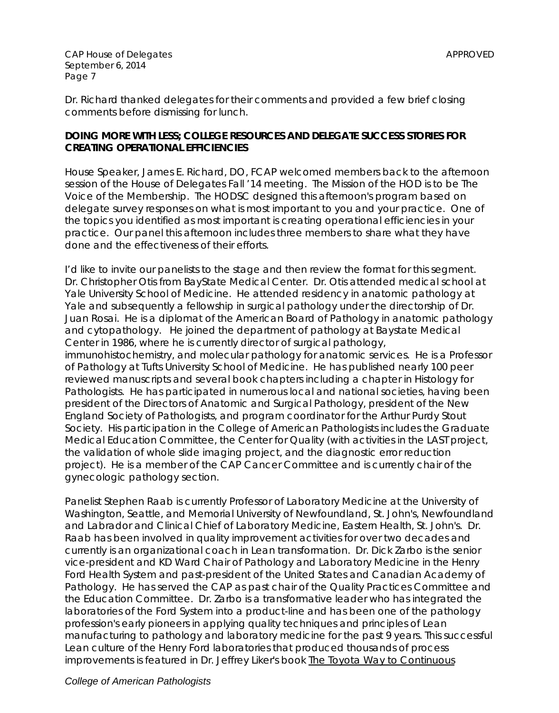Dr. Richard thanked delegates for their comments and provided a few brief closing comments before dismissing for lunch.

## **DOING MORE WITH LESS; COLLEGE RESOURCES AND DELEGATE SUCCESS STORIES FOR CREATING OPERATIONAL EFFICIENCIES**

House Speaker, James E. Richard, DO, FCAP welcomed members back to the afternoon session of the House of Delegates Fall '14 meeting. The Mission of the HOD is to be The Voice of the Membership. The HODSC designed this afternoon's program based on delegate survey responses on what is most important to you and your practice. One of the topics you identified as most important is creating operational efficiencies in your practice. Our panel this afternoon includes three members to share what they have done and the effectiveness of their efforts.

I'd like to invite our panelists to the stage and then review the format for this segment. Dr. Christopher Otis from BayState Medical Center. Dr. Otis attended medical school at Yale University School of Medicine. He attended residency in anatomic pathology at Yale and subsequently a fellowship in surgical pathology under the directorship of Dr. Juan Rosai. He is a diplomat of the American Board of Pathology in anatomic pathology and cytopathology. He joined the department of pathology at Baystate Medical Center in 1986, where he is currently director of surgical pathology, immunohistochemistry, and molecular pathology for anatomic services. He is a Professor of Pathology at Tufts University School of Medicine. He has published nearly 100 peer reviewed manuscripts and several book chapters including a chapter in Histology for Pathologists. He has participated in numerous local and national societies, having been president of the Directors of Anatomic and Surgical Pathology, president of the New England Society of Pathologists, and program coordinator for the Arthur Purdy Stout Society. His participation in the College of American Pathologists includes the Graduate Medical Education Committee, the Center for Quality (with activities in the LAST project, the validation of whole slide imaging project, and the diagnostic error reduction project). He is a member of the CAP Cancer Committee and is currently chair of the gynecologic pathology section.

Panelist Stephen Raab is currently Professor of Laboratory Medicine at the University of Washington, Seattle, and Memorial University of Newfoundland, St. John's, Newfoundland and Labrador and Clinical Chief of Laboratory Medicine, Eastern Health, St. John's. Dr. Raab has been involved in quality improvement activities for over two decades and currently is an organizational coach in Lean transformation. Dr. Dick Zarbo is the senior vice-president and KD Ward Chair of Pathology and Laboratory Medicine in the Henry Ford Health System and past-president of the United States and Canadian Academy of Pathology. He has served the CAP as past chair of the Quality Practices Committee and the Education Committee. Dr. Zarbo is a transformative leader who has integrated the laboratories of the Ford System into a product-line and has been one of the pathology profession's early pioneers in applying quality techniques and principles of Lean manufacturing to pathology and laboratory medicine for the past 9 years. This successful Lean culture of the Henry Ford laboratories that produced thousands of process improvements is featured in Dr. Jeffrey Liker's book The Toyota Way to Continuous